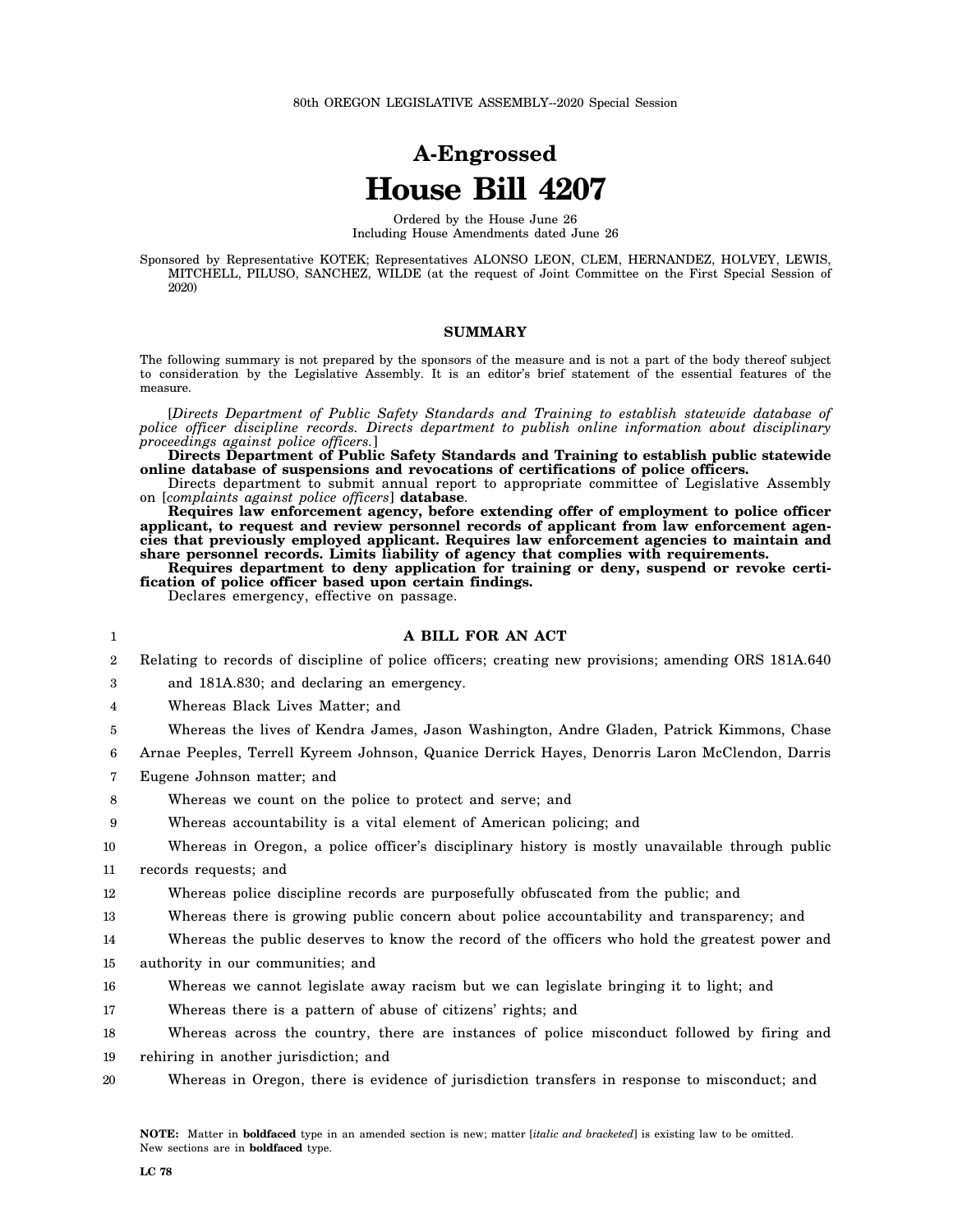# **A-Engrossed House Bill 4207**

Ordered by the House June 26 Including House Amendments dated June 26

Sponsored by Representative KOTEK; Representatives ALONSO LEON, CLEM, HERNANDEZ, HOLVEY, LEWIS, MITCHELL, PILUSO, SANCHEZ, WILDE (at the request of Joint Committee on the First Special Session of 2020)

#### **SUMMARY**

The following summary is not prepared by the sponsors of the measure and is not a part of the body thereof subject to consideration by the Legislative Assembly. It is an editor's brief statement of the essential features of the measure.

[*Directs Department of Public Safety Standards and Training to establish statewide database of police officer discipline records. Directs department to publish online information about disciplinary proceedings against police officers.*]

**Directs Department of Public Safety Standards and Training to establish public statewide online database of suspensions and revocations of certifications of police officers.**

Directs department to submit annual report to appropriate committee of Legislative Assembly on [*complaints against police officers*] **database**.

**Requires law enforcement agency, before extending offer of employment to police officer applicant, to request and review personnel records of applicant from law enforcement agencies that previously employed applicant. Requires law enforcement agencies to maintain and share personnel records. Limits liability of agency that complies with requirements.**

**Requires department to deny application for training or deny, suspend or revoke certification of police officer based upon certain findings.**

Declares emergency, effective on passage.

## **A BILL FOR AN ACT**

2 Relating to records of discipline of police officers; creating new provisions; amending ORS 181A.640

3 and 181A.830; and declaring an emergency.

4 Whereas Black Lives Matter; and

5 Whereas the lives of Kendra James, Jason Washington, Andre Gladen, Patrick Kimmons, Chase

6 Arnae Peeples, Terrell Kyreem Johnson, Quanice Derrick Hayes, Denorris Laron McClendon, Darris

7 Eugene Johnson matter; and

8 Whereas we count on the police to protect and serve; and

9 Whereas accountability is a vital element of American policing; and

10 Whereas in Oregon, a police officer's disciplinary history is mostly unavailable through public

11 records requests; and

1

12 Whereas police discipline records are purposefully obfuscated from the public; and

13 Whereas there is growing public concern about police accountability and transparency; and

14 Whereas the public deserves to know the record of the officers who hold the greatest power and

15 authority in our communities; and

16 Whereas we cannot legislate away racism but we can legislate bringing it to light; and

17 Whereas there is a pattern of abuse of citizens' rights; and

18 19 Whereas across the country, there are instances of police misconduct followed by firing and rehiring in another jurisdiction; and

20 Whereas in Oregon, there is evidence of jurisdiction transfers in response to misconduct; and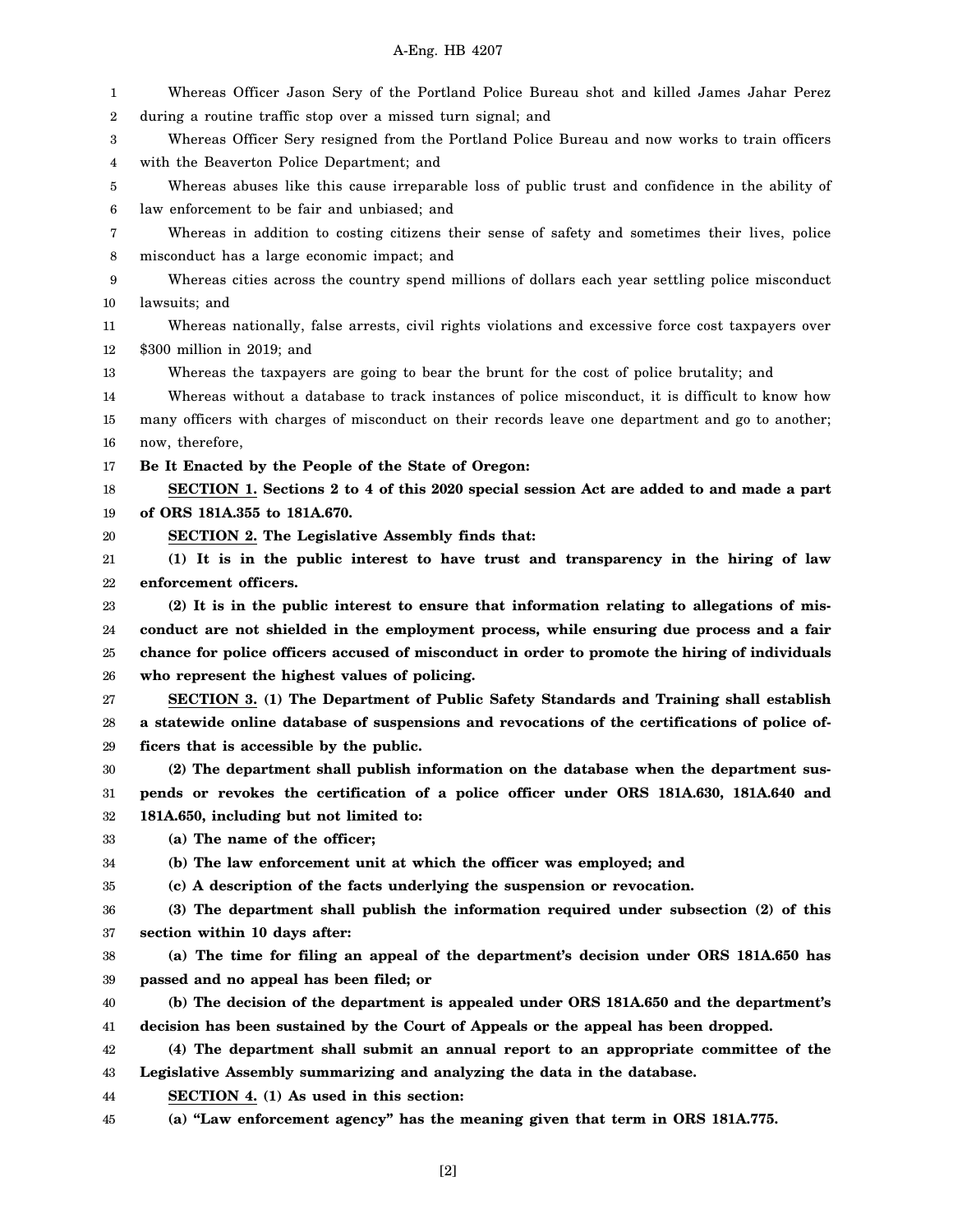## A-Eng. HB 4207

1 2 3 4 5 6 7 8 9 10 11 12 13 14 15 16 17 18 19 20 21 22 23 24 25 26 27 28 29 30 31 32 33 34 35 36 37 38 39 40 41 42 43 44 45 Whereas Officer Jason Sery of the Portland Police Bureau shot and killed James Jahar Perez during a routine traffic stop over a missed turn signal; and Whereas Officer Sery resigned from the Portland Police Bureau and now works to train officers with the Beaverton Police Department; and Whereas abuses like this cause irreparable loss of public trust and confidence in the ability of law enforcement to be fair and unbiased; and Whereas in addition to costing citizens their sense of safety and sometimes their lives, police misconduct has a large economic impact; and Whereas cities across the country spend millions of dollars each year settling police misconduct lawsuits; and Whereas nationally, false arrests, civil rights violations and excessive force cost taxpayers over \$300 million in 2019; and Whereas the taxpayers are going to bear the brunt for the cost of police brutality; and Whereas without a database to track instances of police misconduct, it is difficult to know how many officers with charges of misconduct on their records leave one department and go to another; now, therefore, **Be It Enacted by the People of the State of Oregon: SECTION 1. Sections 2 to 4 of this 2020 special session Act are added to and made a part of ORS 181A.355 to 181A.670. SECTION 2. The Legislative Assembly finds that: (1) It is in the public interest to have trust and transparency in the hiring of law enforcement officers. (2) It is in the public interest to ensure that information relating to allegations of misconduct are not shielded in the employment process, while ensuring due process and a fair chance for police officers accused of misconduct in order to promote the hiring of individuals who represent the highest values of policing. SECTION 3. (1) The Department of Public Safety Standards and Training shall establish a statewide online database of suspensions and revocations of the certifications of police officers that is accessible by the public. (2) The department shall publish information on the database when the department suspends or revokes the certification of a police officer under ORS 181A.630, 181A.640 and 181A.650, including but not limited to: (a) The name of the officer; (b) The law enforcement unit at which the officer was employed; and (c) A description of the facts underlying the suspension or revocation. (3) The department shall publish the information required under subsection (2) of this section within 10 days after: (a) The time for filing an appeal of the department's decision under ORS 181A.650 has passed and no appeal has been filed; or (b) The decision of the department is appealed under ORS 181A.650 and the department's decision has been sustained by the Court of Appeals or the appeal has been dropped. (4) The department shall submit an annual report to an appropriate committee of the Legislative Assembly summarizing and analyzing the data in the database. SECTION 4. (1) As used in this section: (a) "Law enforcement agency" has the meaning given that term in ORS 181A.775.**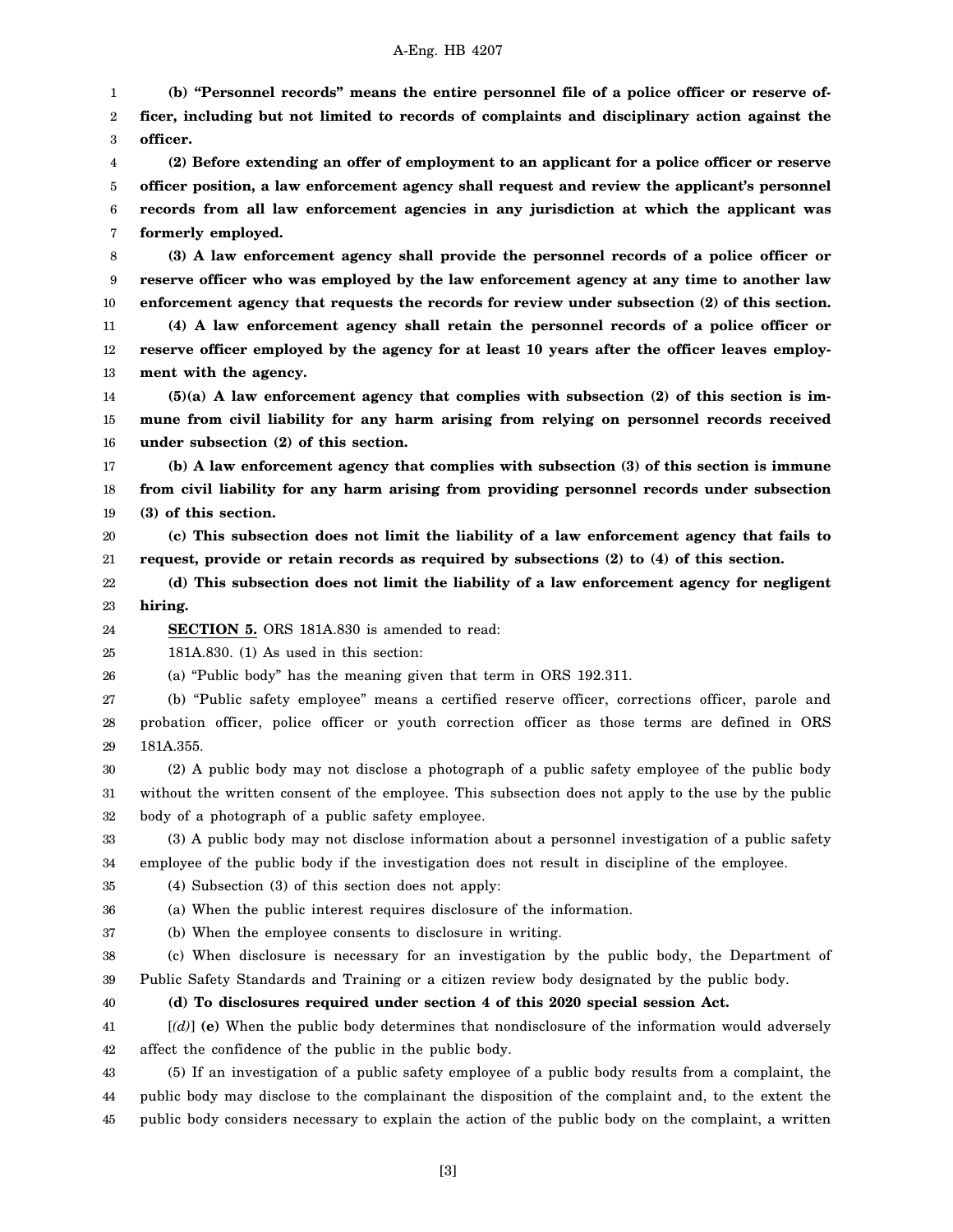## A-Eng. HB 4207

1 2 3 4 5 6 **(b) "Personnel records" means the entire personnel file of a police officer or reserve officer, including but not limited to records of complaints and disciplinary action against the officer. (2) Before extending an offer of employment to an applicant for a police officer or reserve officer position, a law enforcement agency shall request and review the applicant's personnel records from all law enforcement agencies in any jurisdiction at which the applicant was**

7 **formerly employed.**

8 9 10 11 12 13 **(3) A law enforcement agency shall provide the personnel records of a police officer or reserve officer who was employed by the law enforcement agency at any time to another law enforcement agency that requests the records for review under subsection (2) of this section. (4) A law enforcement agency shall retain the personnel records of a police officer or reserve officer employed by the agency for at least 10 years after the officer leaves employment with the agency.**

14 15 16 **(5)(a) A law enforcement agency that complies with subsection (2) of this section is immune from civil liability for any harm arising from relying on personnel records received under subsection (2) of this section.**

17 18 19 **(b) A law enforcement agency that complies with subsection (3) of this section is immune from civil liability for any harm arising from providing personnel records under subsection (3) of this section.**

20 21 **(c) This subsection does not limit the liability of a law enforcement agency that fails to request, provide or retain records as required by subsections (2) to (4) of this section.**

22 23 **(d) This subsection does not limit the liability of a law enforcement agency for negligent hiring.**

24 **SECTION 5.** ORS 181A.830 is amended to read:

25 181A.830. (1) As used in this section:

26 (a) "Public body" has the meaning given that term in ORS 192.311.

27 28 29 (b) "Public safety employee" means a certified reserve officer, corrections officer, parole and probation officer, police officer or youth correction officer as those terms are defined in ORS 181A.355.

30 31 32 (2) A public body may not disclose a photograph of a public safety employee of the public body without the written consent of the employee. This subsection does not apply to the use by the public body of a photograph of a public safety employee.

33 34 (3) A public body may not disclose information about a personnel investigation of a public safety employee of the public body if the investigation does not result in discipline of the employee.

35 (4) Subsection (3) of this section does not apply:

36 (a) When the public interest requires disclosure of the information.

37 (b) When the employee consents to disclosure in writing.

38 39 (c) When disclosure is necessary for an investigation by the public body, the Department of Public Safety Standards and Training or a citizen review body designated by the public body.

40

**(d) To disclosures required under section 4 of this 2020 special session Act.**

41 42 [*(d)*] **(e)** When the public body determines that nondisclosure of the information would adversely affect the confidence of the public in the public body.

43 44 45 (5) If an investigation of a public safety employee of a public body results from a complaint, the public body may disclose to the complainant the disposition of the complaint and, to the extent the public body considers necessary to explain the action of the public body on the complaint, a written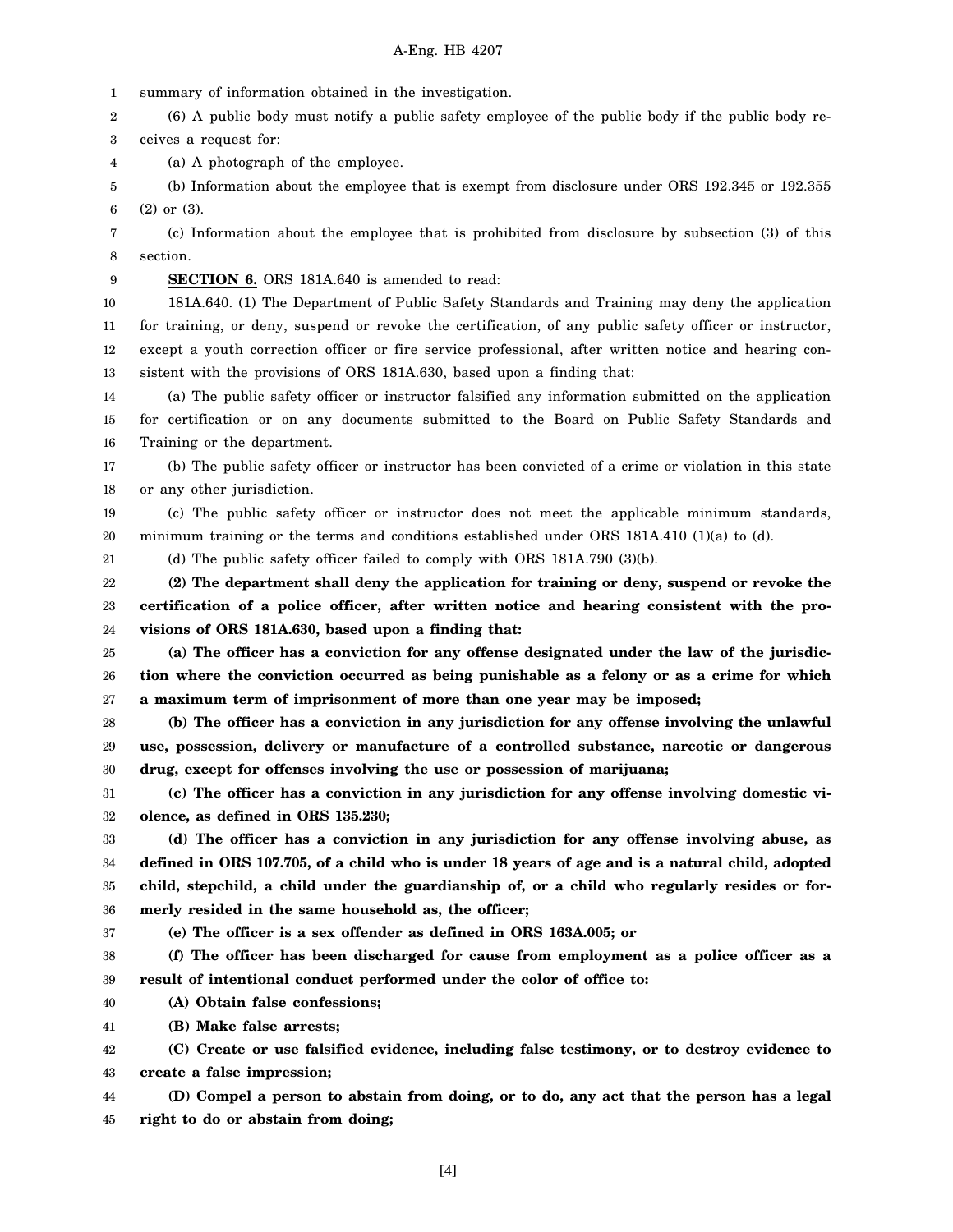1 summary of information obtained in the investigation.

2 3 (6) A public body must notify a public safety employee of the public body if the public body receives a request for:

4 (a) A photograph of the employee.

5 6 (b) Information about the employee that is exempt from disclosure under ORS 192.345 or 192.355 (2) or (3).

7 8 (c) Information about the employee that is prohibited from disclosure by subsection (3) of this section.

9 **SECTION 6.** ORS 181A.640 is amended to read:

10

11 12 13 181A.640. (1) The Department of Public Safety Standards and Training may deny the application for training, or deny, suspend or revoke the certification, of any public safety officer or instructor, except a youth correction officer or fire service professional, after written notice and hearing consistent with the provisions of ORS 181A.630, based upon a finding that:

14 15 16 (a) The public safety officer or instructor falsified any information submitted on the application for certification or on any documents submitted to the Board on Public Safety Standards and Training or the department.

17 18 (b) The public safety officer or instructor has been convicted of a crime or violation in this state or any other jurisdiction.

19 20 (c) The public safety officer or instructor does not meet the applicable minimum standards, minimum training or the terms and conditions established under ORS 181A.410 (1)(a) to (d).

21

(d) The public safety officer failed to comply with ORS 181A.790 (3)(b).

22 23 24 **(2) The department shall deny the application for training or deny, suspend or revoke the certification of a police officer, after written notice and hearing consistent with the provisions of ORS 181A.630, based upon a finding that:**

25 26 27 **(a) The officer has a conviction for any offense designated under the law of the jurisdiction where the conviction occurred as being punishable as a felony or as a crime for which a maximum term of imprisonment of more than one year may be imposed;**

28 29 30 **(b) The officer has a conviction in any jurisdiction for any offense involving the unlawful use, possession, delivery or manufacture of a controlled substance, narcotic or dangerous drug, except for offenses involving the use or possession of marijuana;**

31 32 **(c) The officer has a conviction in any jurisdiction for any offense involving domestic violence, as defined in ORS 135.230;**

33 34 35 36 **(d) The officer has a conviction in any jurisdiction for any offense involving abuse, as defined in ORS 107.705, of a child who is under 18 years of age and is a natural child, adopted child, stepchild, a child under the guardianship of, or a child who regularly resides or formerly resided in the same household as, the officer;**

37 **(e) The officer is a sex offender as defined in ORS 163A.005; or**

38 39 **(f) The officer has been discharged for cause from employment as a police officer as a result of intentional conduct performed under the color of office to:**

40 **(A) Obtain false confessions;**

41 **(B) Make false arrests;**

42 43 **(C) Create or use falsified evidence, including false testimony, or to destroy evidence to create a false impression;**

44 45 **(D) Compel a person to abstain from doing, or to do, any act that the person has a legal right to do or abstain from doing;**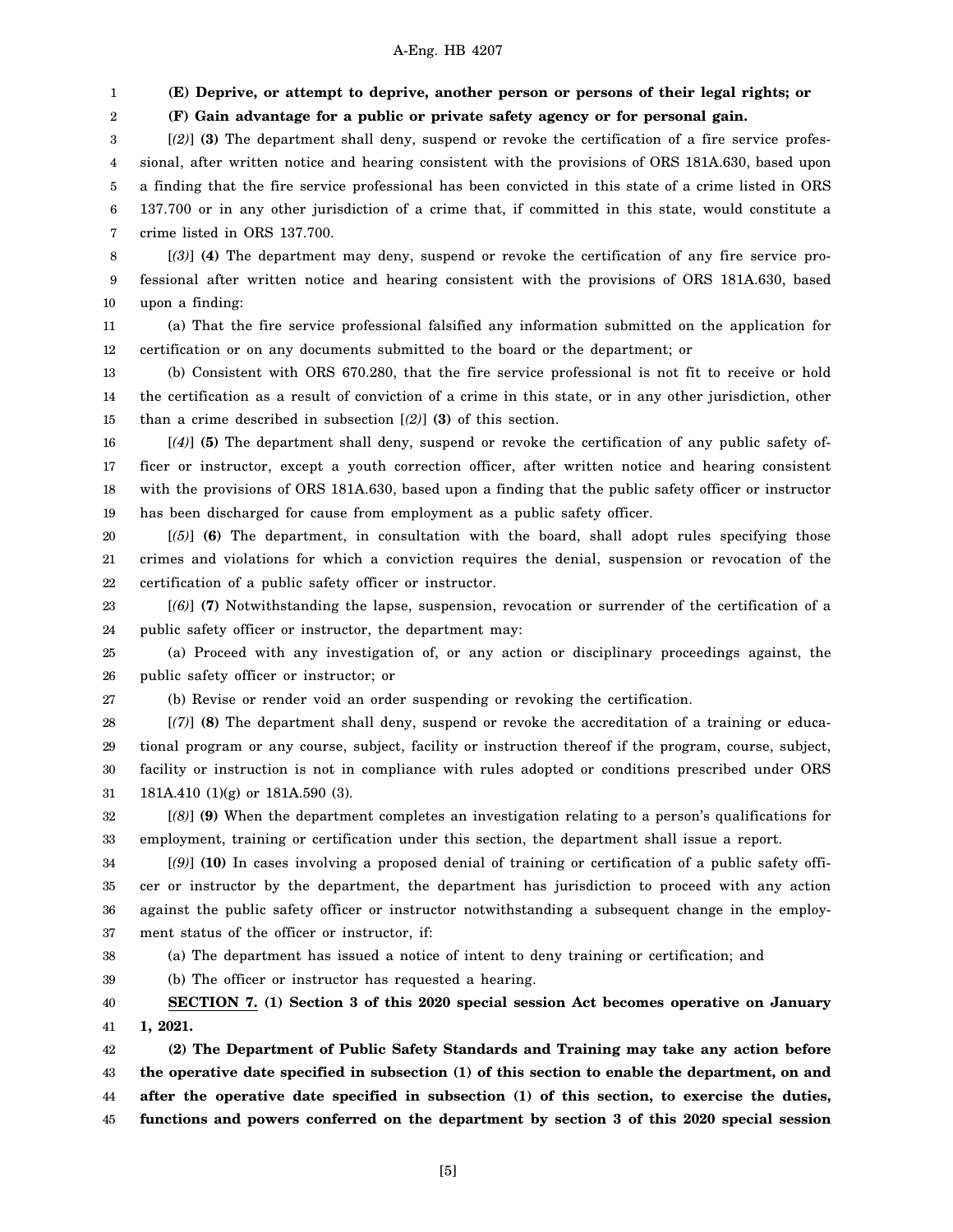## A-Eng. HB 4207

1 **(E) Deprive, or attempt to deprive, another person or persons of their legal rights; or**

**(F) Gain advantage for a public or private safety agency or for personal gain.**

3 4 5 6 7 [*(2)*] **(3)** The department shall deny, suspend or revoke the certification of a fire service professional, after written notice and hearing consistent with the provisions of ORS 181A.630, based upon a finding that the fire service professional has been convicted in this state of a crime listed in ORS 137.700 or in any other jurisdiction of a crime that, if committed in this state, would constitute a crime listed in ORS 137.700.

8 9 10 [*(3)*] **(4)** The department may deny, suspend or revoke the certification of any fire service professional after written notice and hearing consistent with the provisions of ORS 181A.630, based upon a finding:

11 12 (a) That the fire service professional falsified any information submitted on the application for certification or on any documents submitted to the board or the department; or

13 14 15 (b) Consistent with ORS 670.280, that the fire service professional is not fit to receive or hold the certification as a result of conviction of a crime in this state, or in any other jurisdiction, other than a crime described in subsection [*(2)*] **(3)** of this section.

16 17 18 19 [*(4)*] **(5)** The department shall deny, suspend or revoke the certification of any public safety officer or instructor, except a youth correction officer, after written notice and hearing consistent with the provisions of ORS 181A.630, based upon a finding that the public safety officer or instructor has been discharged for cause from employment as a public safety officer.

20 21 22 [*(5)*] **(6)** The department, in consultation with the board, shall adopt rules specifying those crimes and violations for which a conviction requires the denial, suspension or revocation of the certification of a public safety officer or instructor.

23 24 [*(6)*] **(7)** Notwithstanding the lapse, suspension, revocation or surrender of the certification of a public safety officer or instructor, the department may:

25 26 (a) Proceed with any investigation of, or any action or disciplinary proceedings against, the public safety officer or instructor; or

27

2

(b) Revise or render void an order suspending or revoking the certification.

28 29 30 31 [*(7)*] **(8)** The department shall deny, suspend or revoke the accreditation of a training or educational program or any course, subject, facility or instruction thereof if the program, course, subject, facility or instruction is not in compliance with rules adopted or conditions prescribed under ORS 181A.410 (1)(g) or 181A.590 (3).

32 33 [*(8)*] **(9)** When the department completes an investigation relating to a person's qualifications for employment, training or certification under this section, the department shall issue a report.

34 35 36 37 [*(9)*] **(10)** In cases involving a proposed denial of training or certification of a public safety officer or instructor by the department, the department has jurisdiction to proceed with any action against the public safety officer or instructor notwithstanding a subsequent change in the employment status of the officer or instructor, if:

38

(a) The department has issued a notice of intent to deny training or certification; and

39 (b) The officer or instructor has requested a hearing.

40 41 **SECTION 7. (1) Section 3 of this 2020 special session Act becomes operative on January 1, 2021.**

42 43 44 45 **(2) The Department of Public Safety Standards and Training may take any action before the operative date specified in subsection (1) of this section to enable the department, on and after the operative date specified in subsection (1) of this section, to exercise the duties, functions and powers conferred on the department by section 3 of this 2020 special session**